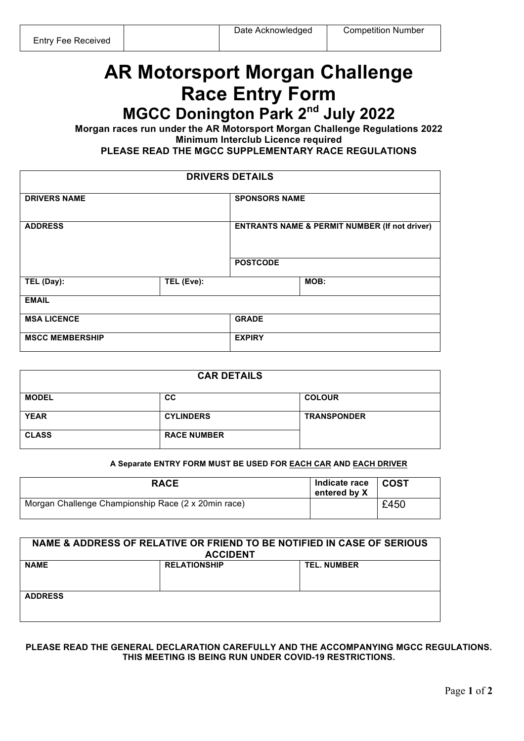# **AR Motorsport Morgan Challenge Race Entry Form**

**MGCC Donington Park 2nd July 2022**

**Morgan races run under the AR Motorsport Morgan Challenge Regulations 2022 Minimum Interclub Licence required**

**PLEASE READ THE MGCC SUPPLEMENTARY RACE REGULATIONS** 

| <b>DRIVERS DETAILS</b> |            |                      |                                                          |  |
|------------------------|------------|----------------------|----------------------------------------------------------|--|
| <b>DRIVERS NAME</b>    |            | <b>SPONSORS NAME</b> |                                                          |  |
| <b>ADDRESS</b>         |            |                      | <b>ENTRANTS NAME &amp; PERMIT NUMBER (If not driver)</b> |  |
|                        |            | <b>POSTCODE</b>      |                                                          |  |
| TEL (Day):             | TEL (Eve): |                      | MOB:                                                     |  |
| <b>EMAIL</b>           |            |                      |                                                          |  |
| <b>MSA LICENCE</b>     |            | <b>GRADE</b>         |                                                          |  |
| <b>MSCC MEMBERSHIP</b> |            | <b>EXPIRY</b>        |                                                          |  |

| <b>CAR DETAILS</b> |                    |                    |
|--------------------|--------------------|--------------------|
| <b>MODEL</b>       | <b>CC</b>          | <b>COLOUR</b>      |
| <b>YEAR</b>        | <b>CYLINDERS</b>   | <b>TRANSPONDER</b> |
| <b>CLASS</b>       | <b>RACE NUMBER</b> |                    |

#### **A Separate ENTRY FORM MUST BE USED FOR EACH CAR AND EACH DRIVER**

| <b>RACE</b>                                         | Indicate race<br>entered by X | ∣ COST |
|-----------------------------------------------------|-------------------------------|--------|
| Morgan Challenge Championship Race (2 x 20min race) |                               | £450   |

| NAME & ADDRESS OF RELATIVE OR FRIEND TO BE NOTIFIED IN CASE OF SERIOUS<br><b>ACCIDENT</b> |                     |                    |
|-------------------------------------------------------------------------------------------|---------------------|--------------------|
| <b>NAME</b>                                                                               | <b>RELATIONSHIP</b> | <b>TEL. NUMBER</b> |
| <b>ADDRESS</b>                                                                            |                     |                    |

### **PLEASE READ THE GENERAL DECLARATION CAREFULLY AND THE ACCOMPANYING MGCC REGULATIONS. THIS MEETING IS BEING RUN UNDER COVID-19 RESTRICTIONS.**